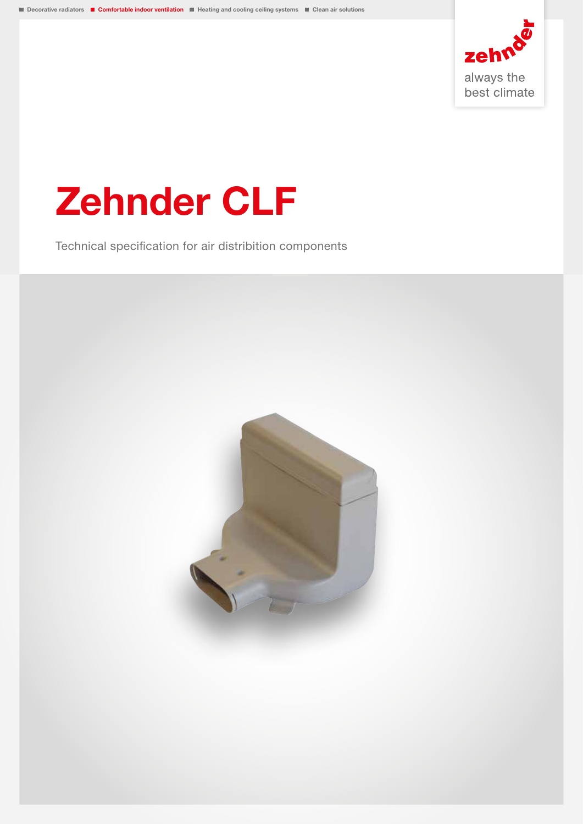

# Zehnder CLF

Technical specification for air distribition components

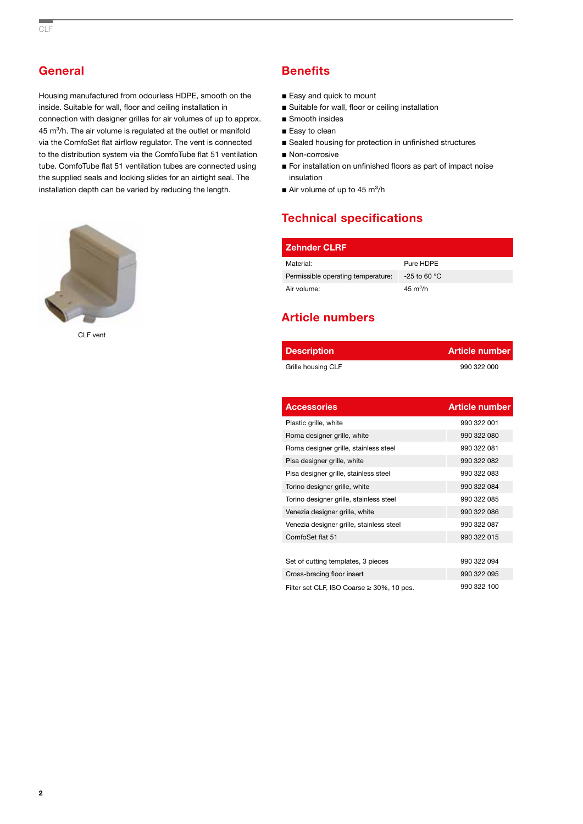## **General**

Housing manufactured from odourless HDPE, smooth on the inside. Suitable for wall, floor and ceiling installation in connection with designer grilles for air volumes of up to approx. 45 m<sup>3</sup>/h. The air volume is regulated at the outlet or manifold via the ComfoSet flat airflow regulator. The vent is connected to the distribution system via the ComfoTube flat 51 ventilation tube. ComfoTube flat 51 ventilation tubes are connected using the supplied seals and locking slides for an airtight seal. The installation depth can be varied by reducing the length.



CLF vent

## **Benefits**

- Easy and quick to mount
- Suitable for wall, floor or ceiling installation
- Smooth insides
- Easy to clean
- Sealed housing for protection in unfinished structures
- Non-corrosive
- For installation on unfinished floors as part of impact noise insulation
- $\blacksquare$  Air volume of up to 45 m<sup>3</sup>/h

## Technical specifications

| <b>Zehnder CLRF</b>                |                    |
|------------------------------------|--------------------|
| Material:                          | Pure HDPE          |
| Permissible operating temperature: | $-25$ to 60 °C     |
| Air volume:                        | $45 \text{ m}^3/h$ |

## Article numbers

| <b>Description</b>                        | <b>Article number</b> |
|-------------------------------------------|-----------------------|
| Grille housing CLF                        | 990 322 000           |
|                                           |                       |
| <b>Accessories</b>                        | <b>Article number</b> |
| Plastic grille, white                     | 990 322 001           |
| Roma designer grille, white               | 990 322 080           |
| Roma designer grille, stainless steel     | 990 322 081           |
| Pisa designer grille, white               | 990 322 082           |
| Pisa designer grille, stainless steel     | 990 322 083           |
| Torino designer grille, white             | 990 322 084           |
| Torino designer grille, stainless steel   | 990 322 085           |
| Venezia designer grille, white            | 990 322 086           |
| Venezia designer grille, stainless steel  | 990 322 087           |
| ComfoSet flat 51                          | 990 322 015           |
|                                           |                       |
| Set of cutting templates, 3 pieces        | 990 322 094           |
| Cross-bracing floor insert                | 990 322 095           |
| Filter set CLF, ISO Coarse ≥ 30%, 10 pcs. | 990 322 100           |

2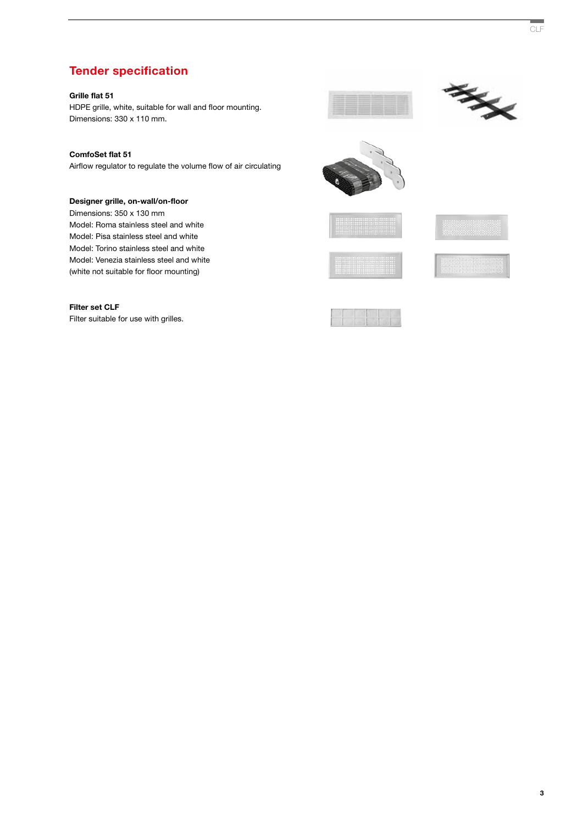## Tender specification

#### Grille flat 51

HDPE grille, white, suitable for wall and floor mounting. Dimensions: 330 x 110 mm.



Airflow regulator to regulate the volume flow of air circulating

#### Designer grille, on-wall/on-floor

Dimensions: 350 x 130 mm Model: Roma stainless steel and white Model: Pisa stainless steel and white Model: Torino stainless steel and white Model: Venezia stainless steel and white (white not suitable for floor mounting)

#### Filter set CLF

Filter suitable for use with grilles.













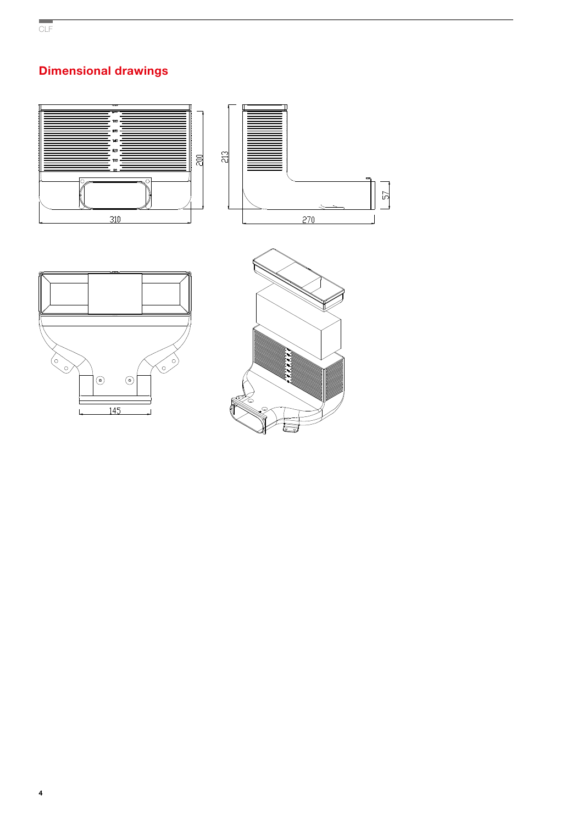## Dimensional drawings







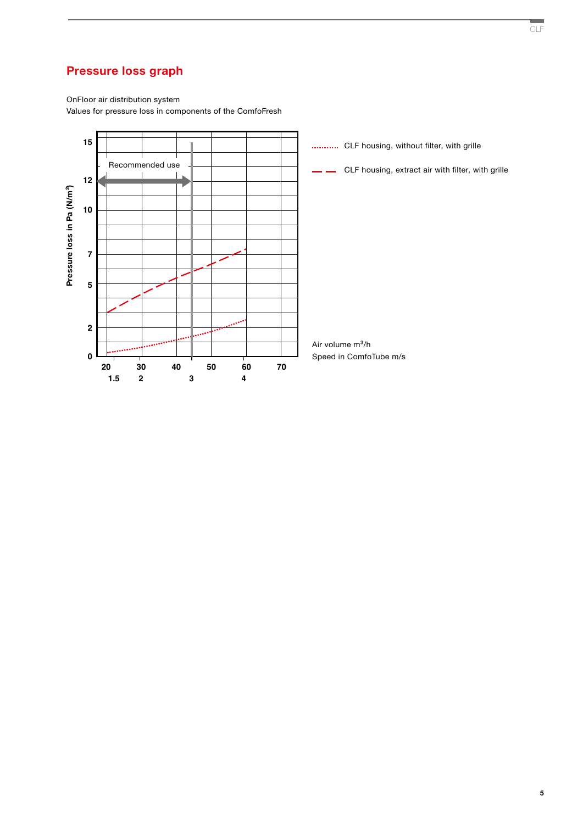## Pressure loss graph

OnFloor air distribution system Values for pressure loss in components of the ComfoFresh